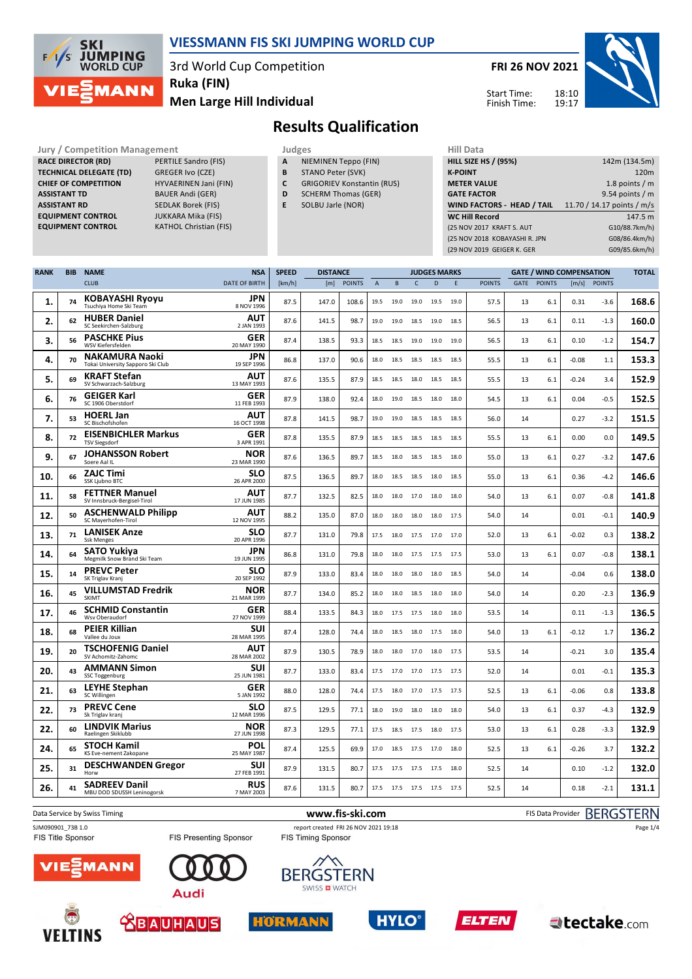

**TECHNICAL DELEGATE (TD)** GREGER Ivo (CZE) **CHIEF OF COMPETITION** HYVAERINEN Jani (FIN) **ASSISTANT TD** BAUER Andi (GER) **ASSISTANT RD** SEDLAK Borek (FIS)<br>**EQUIPMENT CONTROL** JUKKARA Mika (FIS)

**RACE DIRECTOR (RD)** 

**EQUIPMENT CONTROL**<br>**EQUIPMENT CONTROL** 

#### **VIESSMANN FIS SKI JUMPING WORLD CUP**

3rd World Cup Competition

**Ruka (FIN)**

**KATHOL Christian (FIS)** 

### **Men Large Hill Individual**

# **FRI 26 NOV 2021**



Start Time: Finish Time:

## **Results Qualification**

- **Jury / Competition Management Judges Hill Data**<br> **RACE DIRECTOR (RD)** PERTILE Sandro (FIS) **A** NIEMINEN Teppo (FIN) **HILL SIZE H A** NIEMINEN Teppo (FIN)
	- **B** STANO Peter (SVK)
	- **C** GRIGORIEV Konstantin (RUS) **D** SCHERM Thomas (GER)
	- **E** SOLBU Jarle (NOR)

| <b>HILL SIZE HS / (95%)</b>   | 142m (134.5m)              |
|-------------------------------|----------------------------|
| <b>K-POINT</b>                | 120m                       |
| <b>METER VALUE</b>            | 1.8 points $/m$            |
| <b>GATE FACTOR</b>            | 9.54 points $/m$           |
| WIND FACTORS - HEAD / TAIL    | 11.70 / 14.17 points / m/s |
| <b>WC Hill Record</b>         | 147.5 m                    |
| (25 NOV 2017 KRAFT S. AUT     | G10/88.7km/h)              |
| (25 NOV 2018 KOBAYASHI R. JPN | G08/86.4km/h)              |
| (29 NOV 2019 GEIGER K. GER    | G09/85.6km/h)              |
|                               |                            |

| <b>RANK</b> | <b>BIB</b> | <b>NAME</b>                                                | <b>NSA</b>                | <b>SPEED</b> | <b>DISTANCE</b> | <b>JUDGES MARKS</b> |                |      |              |                          |      | <b>GATE / WIND COMPENSATION</b> |             |               |         |               |       |
|-------------|------------|------------------------------------------------------------|---------------------------|--------------|-----------------|---------------------|----------------|------|--------------|--------------------------|------|---------------------------------|-------------|---------------|---------|---------------|-------|
|             |            | <b>CLUB</b>                                                | <b>DATE OF BIRTH</b>      | [km/h]       | [m]             | <b>POINTS</b>       | $\overline{A}$ | B    | $\mathsf{C}$ | D                        | E.   | <b>POINTS</b>                   | <b>GATE</b> | <b>POINTS</b> | [m/s]   | <b>POINTS</b> |       |
| 1.          | 74         | <b>KOBAYASHI Ryoyu</b><br>Tsuchiya Home Ski Team           | JPN<br>8 NOV 1996         | 87.5         | 147.0           | 108.6               | 19.5           | 19.0 | 19.0         | 19.5                     | 19.0 | 57.5                            | 13          | 6.1           | 0.31    | -3.6          | 168.6 |
| 2.          | 62         | <b>HUBER Daniel</b><br>SC Seekirchen-Salzburg              | AUT<br>2 JAN 1993         | 87.6         | 141.5           | 98.7                | 19.0           | 19.0 | 18.5         | 19.0                     | 18.5 | 56.5                            | 13          | 6.1           | 0.11    | $-1.3$        | 160.0 |
| 3.          | 56         | <b>PASCHKE Pius</b><br>WSV Kiefersfelden                   | <b>GER</b><br>20 MAY 1990 | 87.4         | 138.5           | 93.3                | 18.5           | 18.5 | 19.0         | 19.0                     | 19.0 | 56.5                            | 13          | 6.1           | 0.10    | $-1.2$        | 154.7 |
| 4.          | 70         | <b>NAKAMURA Naoki</b><br>Tokai University Sapporo Ski Club | <b>JPN</b><br>19 SEP 1996 | 86.8         | 137.0           | 90.6                | 18.0           | 18.5 | 18.5         | 18.5                     | 18.5 | 55.5                            | 13          | 6.1           | $-0.08$ | 1.1           | 153.3 |
| 5.          | 69         | <b>KRAFT Stefan</b><br>SV Schwarzach-Salzburg              | AUT<br>13 MAY 1993        | 87.6         | 135.5           | 87.9                | 18.5           | 18.5 | 18.0         | 18.5                     | 18.5 | 55.5                            | 13          | 6.1           | $-0.24$ | 3.4           | 152.9 |
| 6.          | 76         | <b>GEIGER Karl</b><br>SC 1906 Oberstdorf                   | <b>GER</b><br>11 FEB 1993 | 87.9         | 138.0           | 92.4                | 18.0           | 19.0 | 18.5         | 18.0                     | 18.0 | 54.5                            | 13          | 6.1           | 0.04    | $-0.5$        | 152.5 |
| 7.          | 53         | <b>HOERL Jan</b><br>SC Bischofshofen                       | AUT<br>16 OCT 1998        | 87.8         | 141.5           | 98.7                | 19.0           | 19.0 | 18.5         | 18.5                     | 18.5 | 56.0                            | 14          |               | 0.27    | $-3.2$        | 151.5 |
| 8.          | 72         | <b>EISENBICHLER Markus</b><br><b>TSV Siegsdorf</b>         | <b>GER</b><br>3 APR 1991  | 87.8         | 135.5           | 87.9                | 18.5           | 18.5 | 18.5         | 18.5                     | 18.5 | 55.5                            | 13          | 6.1           | 0.00    | 0.0           | 149.5 |
| 9.          | 67         | <b>JOHANSSON Robert</b><br>Soere Aal IL                    | <b>NOR</b><br>23 MAR 1990 | 87.6         | 136.5           | 89.7                | 18.5           | 18.0 | 18.5         | 18.5                     | 18.0 | 55.0                            | 13          | 6.1           | 0.27    | $-3.2$        | 147.6 |
| 10.         | 66         | <b>ZAJC Timi</b><br><b>SSK Liubno BTC</b>                  | SLO<br>26 APR 2000        | 87.5         | 136.5           | 89.7                | 18.0           | 18.5 | 18.5         | 18.0                     | 18.5 | 55.0                            | 13          | 6.1           | 0.36    | $-4.2$        | 146.6 |
| 11.         | 58         | <b>FETTNER Manuel</b><br>SV Innsbruck-Bergisel-Tirol       | AUT<br>17 JUN 1985        | 87.7         | 132.5           | 82.5                | 18.0           | 18.0 | 17.0         | 18.0                     | 18.0 | 54.0                            | 13          | 6.1           | 0.07    | $-0.8$        | 141.8 |
| 12.         | 50         | <b>ASCHENWALD Philipp</b><br>SC Mayerhofen-Tirol           | AUT<br>12 NOV 1995        | 88.2         | 135.0           | 87.0                | 18.0           | 18.0 | 18.0         | 18.0                     | 17.5 | 54.0                            | 14          |               | 0.01    | $-0.1$        | 140.9 |
| 13.         | 71         | <b>LANISEK Anze</b><br><b>Ssk Menges</b>                   | <b>SLO</b><br>20 APR 1996 | 87.7         | 131.0           | 79.8                | 17.5           | 18.0 | 17.5         | 17.0                     | 17.0 | 52.0                            | 13          | 6.1           | $-0.02$ | 0.3           | 138.2 |
| 14.         | 64         | <b>SATO Yukiva</b><br>Megmilk Snow Brand Ski Team          | <b>JPN</b><br>19 JUN 1995 | 86.8         | 131.0           | 79.8                | 18.0           | 18.0 |              | 17.5 17.5 17.5           |      | 53.0                            | 13          | 6.1           | 0.07    | $-0.8$        | 138.1 |
| 15.         | 14         | <b>PREVC Peter</b><br>SK Triglav Kranj                     | <b>SLO</b><br>20 SEP 1992 | 87.9         | 133.0           | 83.4                | 18.0           | 18.0 | 18.0         | 18.0                     | 18.5 | 54.0                            | 14          |               | $-0.04$ | 0.6           | 138.0 |
| 16.         | 45         | <b>VILLUMSTAD Fredrik</b><br>SKIMT                         | <b>NOR</b><br>21 MAR 1999 | 87.7         | 134.0           | 85.2                | 18.0           | 18.0 | 18.5         | 18.0                     | 18.0 | 54.0                            | 14          |               | 0.20    | $-2.3$        | 136.9 |
| 17.         | 46         | <b>SCHMID Constantin</b><br>Wsv Oberaudorf                 | <b>GER</b><br>27 NOV 1999 | 88.4         | 133.5           | 84.3                | 18.0           | 17.5 | 17.5         | 18.0                     | 18.0 | 53.5                            | 14          |               | 0.11    | $-1.3$        | 136.5 |
| 18.         | 68         | <b>PEIER Killian</b><br>Vallee du Joux                     | SUI<br>28 MAR 1995        | 87.4         | 128.0           | 74.4                | 18.0           | 18.5 | 18.0 17.5    |                          | 18.0 | 54.0                            | 13          | 6.1           | $-0.12$ | 1.7           | 136.2 |
| 19.         | 20         | <b>TSCHOFENIG Daniel</b><br>SV Achomitz-Zahomc             | <b>AUT</b><br>28 MAR 2002 | 87.9         | 130.5           | 78.9                | 18.0           | 18.0 | 17.0         | 18.0                     | 17.5 | 53.5                            | 14          |               | $-0.21$ | 3.0           | 135.4 |
| 20.         | 43         | <b>AMMANN Simon</b><br>SSC Toggenburg                      | SUI<br>25 JUN 1981        | 87.7         | 133.0           | 83.4                | 17.5           | 17.0 | 17.0 17.5    |                          | 17.5 | 52.0                            | 14          |               | 0.01    | $-0.1$        | 135.3 |
| 21.         | 63         | <b>LEYHE Stephan</b><br>SC Willingen                       | <b>GER</b><br>5 JAN 1992  | 88.0         | 128.0           | 74.4                | 17.5           | 18.0 | 17.0         | 17.5                     | 17.5 | 52.5                            | 13          | 6.1           | $-0.06$ | 0.8           | 133.8 |
| 22.         | 73         | <b>PREVC Cene</b><br>Sk Triglav kranj                      | SLO<br>12 MAR 1996        | 87.5         | 129.5           | 77.1                | 18.0           | 19.0 | 18.0         | 18.0                     | 18.0 | 54.0                            | 13          | 6.1           | 0.37    | $-4.3$        | 132.9 |
| 22.         | 60         | <b>LINDVIK Marius</b><br>Raelingen Skiklubb                | <b>NOR</b><br>27 JUN 1998 | 87.3         | 129.5           | 77.1                | 17.5           | 18.5 | 17.5         | 18.0                     | 17.5 | 53.0                            | 13          | 6.1           | 0.28    | -3.3          | 132.9 |
| 24.         | 65         | <b>STOCH Kamil</b><br>KS Eve-nement Zakopane               | POL<br>25 MAY 1987        | 87.4         | 125.5           | 69.9                | 17.0           | 18.5 | 17.5         | 17.0                     | 18.0 | 52.5                            | 13          | 6.1           | $-0.26$ | 3.7           | 132.2 |
| 25.         | 31         | <b>DESCHWANDEN Gregor</b><br>Horw                          | <b>SUI</b><br>27 FEB 1991 | 87.9         | 131.5           | 80.7                | 17.5           | 17.5 | 17.5         | 17.5                     | 18.0 | 52.5                            | 14          |               | 0.10    | $-1.2$        | 132.0 |
| 26.         | 41         | <b>SADREEV Danil</b><br>MBU DOD SDUSSH Leninogorsk         | <b>RUS</b><br>7 MAY 2003  | 87.6         | 131.5           | 80.7                |                |      |              | 17.5 17.5 17.5 17.5 17.5 |      | 52.5                            | 14          |               | 0.18    | $-2.1$        | 131.1 |

Data Service by Swiss Timing **WWW.fis-ski.com www.fis-ski.com** FIS Data Provider BERGSTERN SJM090901\_73B 1.0 report created FRI 26 NOV 2021 19:18<br>
FIS Timing Sponsor FIS Timing Sponsor FIS Timing Sponsor Page 1/4FIS Title Sponsor FIS Presenting Sponsor **MANN BERGSTERN** 

SWISS **D** WATCH





**Audi** 







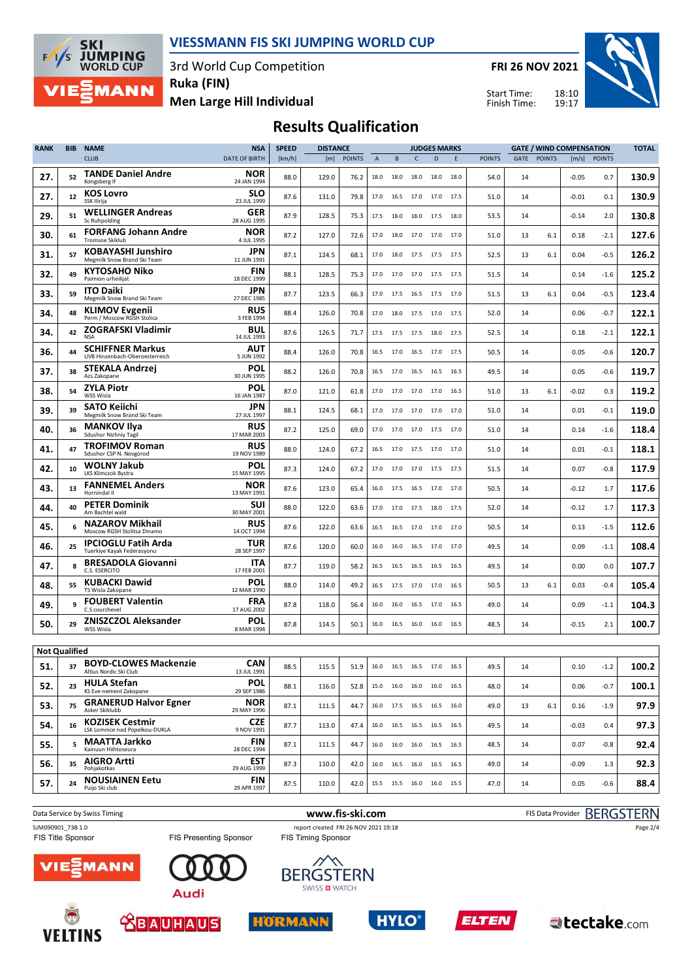

3rd World Cup Competition

**JUMPING**<br>WORLD CUP  $F/1/S$ **MANN** 

**SKI** 

**Men Large Hill Individual Ruka (FIN)**

**FRI 26 NOV 2021**

Start Time: Finish Time:



## **Results Qualification**

| <b>RANK</b>          | <b>BIB</b> | <b>NAME</b>                                               | <b>NSA</b>                | <b>SPEED</b><br><b>DISTANCE</b> |       |               |              | <b>JUDGES MARKS</b> |           |                              |      | <b>GATE / WIND COMPENSATION</b> |      |               |         |               | <b>TOTAL</b> |
|----------------------|------------|-----------------------------------------------------------|---------------------------|---------------------------------|-------|---------------|--------------|---------------------|-----------|------------------------------|------|---------------------------------|------|---------------|---------|---------------|--------------|
|                      |            | <b>CLUB</b>                                               | DATE OF BIRTH             | [km/h]                          | [m]   | <b>POINTS</b> | $\mathsf{A}$ | B                   | c         | D                            | E.   | <b>POINTS</b>                   | GATE | <b>POINTS</b> | [m/s]   | <b>POINTS</b> |              |
| 27.                  | 52         | <b>TANDE Daniel Andre</b><br>Kongsberg If                 | <b>NOR</b><br>24 JAN 1994 | 88.0                            | 129.0 | 76.2          | 18.0         | 18.0                | 18.0      | 18.0                         | 18.0 | 54.0                            | 14   |               | $-0.05$ | 0.7           | 130.9        |
| 27.                  | 12         | <b>KOS Lovro</b><br>SSK Ilirija                           | SLO<br>23 JUL 1999        | 87.6                            | 131.0 | 79.8          | 17.0         | 16.5                | 17.0      | 17.0                         | 17.5 | 51.0                            | 14   |               | -0.01   | 0.1           | 130.9        |
| 29.                  | 51         | <b>WELLINGER Andreas</b><br><b>Sc Ruhpolding</b>          | <b>GER</b><br>28 AUG 1995 | 87.9                            | 128.5 | 75.3          | 17.5         | 18.0                | 18.0      | 17.5                         | 18.0 | 53.5                            | 14   |               | $-0.14$ | 2.0           | 130.8        |
| 30.                  | 61         | <b>FORFANG Johann Andre</b><br><b>Tromsoe Skiklub</b>     | <b>NOR</b><br>4 JUL 1995  | 87.2                            | 127.0 | 72.6          | 17.0         | 18.0                | 17.0      | 17.0                         | 17.0 | 51.0                            | 13   | 6.1           | 0.18    | $-2.1$        | 127.6        |
| 31.                  | 57         | <b>KOBAYASHI Junshiro</b><br>Megmilk Snow Brand Ski Team  | JPN<br>11 JUN 1991        | 87.1                            | 124.5 | 68.1          | 17.0         | 18.0                |           | 17.5 17.5 17.5               |      | 52.5                            | 13   | 6.1           | 0.04    | $-0.5$        | 126.2        |
| 32.                  | 49         | <b>KYTOSAHO Niko</b><br>Paimion urheilijat                | <b>FIN</b><br>18 DEC 1999 | 88.1                            | 128.5 | 75.3          | 17.0         | 17.0                |           | 17.0 17.5 17.5               |      | 51.5                            | 14   |               | 0.14    | $-1.6$        | 125.2        |
| 33.                  | 59         | <b>ITO Daiki</b><br>Megmilk Snow Brand Ski Team           | JPN<br>27 DEC 1985        | 87.7                            | 123.5 | 66.3          | 17.0         | 17.5                | 16.5      | 17.5 17.0                    |      | 51.5                            | 13   | 6.1           | 0.04    | $-0.5$        | 123.4        |
| 34.                  | 48         | <b>KLIMOV Evgenii</b><br>Perm / Moscow RGSH Stolica       | <b>RUS</b><br>3 FEB 1994  | 88.4                            | 126.0 | 70.8          | 17.0         | 18.0                | 17.5      | 17.0                         | 17.5 | 52.0                            | 14   |               | 0.06    | $-0.7$        | 122.1        |
| 34.                  | 42         | ZOGRAFSKI Vladimir<br><b>NSA</b>                          | <b>BUL</b><br>14 JUL 1993 | 87.6                            | 126.5 | 71.7          | 17.5         | 17.5                | 17.5      | 18.0                         | 17.5 | 52.5                            | 14   |               | 0.18    | $-2.1$        | 122.1        |
| 36.                  | 44         | <b>SCHIFFNER Markus</b><br>UVB Hinzenbach-Oberoesterreich | AUT<br>5 JUN 1992         | 88.4                            | 126.0 | 70.8          | 16.5         | 17.0                |           | 16.5 17.0                    | 17.5 | 50.5                            | 14   |               | 0.05    | $-0.6$        | 120.7        |
| 37.                  | 38         | STEKALA Andrzej<br>Azs Zakopane                           | POL<br>30 JUN 1995        | 88.2                            | 126.0 | 70.8          | 16.5         | 17.0                | 16.5      | 16.5                         | 16.5 | 49.5                            | 14   |               | 0.05    | $-0.6$        | 119.7        |
| 38.                  | 54         | <b>ZYLA Piotr</b><br>WSS Wisla                            | POL<br>16 JAN 1987        | 87.0                            | 121.0 | 61.8          | 17.0         | 17.0                | 17.0      | 17.0                         | 16.5 | 51.0                            | 13   | 6.1           | -0.02   | 0.3           | 119.2        |
| 39.                  | 39         | SATO Keiichi<br>Megmilk Snow Brand Ski Team               | JPN<br>27 JUL 1997        | 88.1                            | 124.5 | 68.1          | 17.0         | 17.0                | 17.0      | 17.0                         | 17.0 | 51.0                            | 14   |               | 0.01    | $-0.1$        | 119.0        |
| 40.                  | 36         | <b>MANKOV Ilya</b><br>Sdushor Nizhniy Tagil               | <b>RUS</b><br>17 MAR 2003 | 87.2                            | 125.0 | 69.0          | 17.0         | 17.0                |           | 17.0 17.5 17.0               |      | 51.0                            | 14   |               | 0.14    | $-1.6$        | 118.4        |
| 41.                  | 47         | <b>TROFIMOV Roman</b><br>Sdushor CSP N. Novgorod          | <b>RUS</b><br>19 NOV 1989 | 88.0                            | 124.0 | 67.2          | 16.5         | 17.0                |           | 17.5 17.0 17.0               |      | 51.0                            | 14   |               | 0.01    | $-0.1$        | 118.1        |
| 42.                  | 10         | <b>WOLNY Jakub</b><br>LKS Klimczok Bystra                 | POL<br>15 MAY 1995        | 87.3                            | 124.0 | 67.2          | 17.0         | 17.0                | 17.0      | 17.5 17.5                    |      | 51.5                            | 14   |               | 0.07    | $-0.8$        | 117.9        |
| 43.                  | 13         | <b>FANNEMEL Anders</b><br>Hornindal II                    | NOR<br>13 MAY 1991        | 87.6                            | 123.0 | 65.4          | 16.0         | 17.5                | 16.5      | 17.0                         | 17.0 | 50.5                            | 14   |               | -0.12   | 1.7           | 117.6        |
| 44.                  | 40         | <b>PETER Dominik</b><br>Am Bachtel wald                   | SUI<br>30 MAY 2001        | 88.0                            | 122.0 | 63.6          | 17.0         | 17.0                | 17.5      | 18.0                         | 17.5 | 52.0                            | 14   |               | -0.12   | 1.7           | 117.3        |
| 45.                  | 6          | <b>NAZAROV Mikhail</b><br>Moscow RGSH Stolitsa Dinamo     | <b>RUS</b><br>14 OCT 1994 | 87.6                            | 122.0 | 63.6          | 16.5         | 16.5                |           | 17.0 17.0 17.0               |      | 50.5                            | 14   |               | 0.13    | $-1.5$        | 112.6        |
| 46.                  | 25         | <b>IPCIOGLU Fatih Arda</b><br>Tuerkiye Kayak Federasyonu  | TUR<br>28 SEP 1997        | 87.6                            | 120.0 | 60.0          | 16.0         | 16.0                |           | 16.5 17.0 17.0               |      | 49.5                            | 14   |               | 0.09    | $-1.1$        | 108.4        |
| 47.                  | 8          | <b>BRESADOLA Giovanni</b><br>C.S. ESERCITO                | ITA<br>17 FEB 2001        | 87.7                            | 119.0 | 58.2          | 16.5         | 16.5                | 16.5 16.5 |                              | 16.5 | 49.5                            | 14   |               | 0.00    | 0.0           | 107.7        |
| 48.                  | 55         | <b>KUBACKI Dawid</b><br>TS Wisla Zakopane                 | POL<br>12 MAR 1990        | 88.0                            | 114.0 | 49.2          | 16.5         | 17.5                | 17.0      | 17.0                         | 16.5 | 50.5                            | 13   | 6.1           | 0.03    | $-0.4$        | 105.4        |
| 49.                  | 9          | <b>FOUBERT Valentin</b><br>C.S courchevel                 | <b>FRA</b><br>17 AUG 2002 | 87.8                            | 118.0 | 56.4          | 16.0         | 16.0                | 16.5      | 17.0                         | 16.5 | 49.0                            | 14   |               | 0.09    | $-1.1$        | 104.3        |
| 50.                  | 29         | <b>ZNISZCZOL Aleksander</b><br>WSS Wisla                  | POL<br>8 MAR 1994         | 87.8                            | 114.5 | 50.1          | 16.0         |                     |           | 16.5 16.0 16.0               | 16.5 | 48.5                            | 14   |               | $-0.15$ | 2.1           | 100.7        |
| <b>Not Qualified</b> |            |                                                           |                           |                                 |       |               |              |                     |           |                              |      |                                 |      |               |         |               |              |
| 51.                  | 37         | <b>BOYD-CLOWES Mackenzie</b><br>Altius Nordic Ski Club    | <b>CAN</b><br>13 JUL 1991 | 88.5                            | 115.5 | 51.9          |              |                     |           | 16.0  16.5  16.5  17.0  16.5 |      | 49.5                            | 14   |               | 0.10    | $-1.2$        | 100.2        |
| 52.                  | 23         | <b>HULA Stefan</b><br>KS Eve-nement Zakopane              | <b>POL</b><br>29 SEP 1986 | 88.1                            | 116.0 | 52.8          |              |                     |           | 15.0  16.0  16.0  16.0  16.5 |      | 48.0                            | 14   |               | 0.06    | $-0.7$        | 100.1        |
| 53.                  | 75         | <b>GRANERUD Halvor Egner</b><br>Asker Skiklubb            | <b>NOR</b><br>29 MAY 1996 | 87.1                            | 111.5 | 44.7          |              |                     |           | 16.0 17.5 16.5 16.5 16.0     |      | 49.0                            | 13   | 6.1           | 0.16    | $-1.9$        | 97.9         |
| 54.                  | 16         | <b>KOZISEK Cestmir</b><br>LSK Lomnice nad Popelkou-DUKLA  | <b>CZE</b><br>9 NOV 1991  | 87.7                            | 113.0 | 47.4          |              |                     |           | 16.0 16.5 16.5 16.5 16.5     |      | 49.5                            | 14   |               | $-0.03$ | 0.4           | 97.3         |
| 55.                  | 5          | MAATTA Jarkko<br>Kainuun Hiihtoseura                      | <b>FIN</b><br>28 DEC 1994 | 87.1                            | 111.5 | 44.7          |              |                     |           | 16.0 16.0 16.0 16.5 16.5     |      | 48.5                            | 14   |               | 0.07    | $-0.8$        | 92.4         |
| 56.                  | 35         | <b>AIGRO Artti</b><br>Pohiakotkas                         | <b>EST</b><br>29 AUG 1999 | 87.3                            | 110.0 | 42.0          |              |                     |           | 16.0 16.5 16.0 16.5 16.5     |      | 49.0                            | 14   |               | $-0.09$ | 1.3           | 92.3         |
| 57.                  | 24         | <b>NOUSIAINEN Eetu</b><br>Puijo Ski club                  | <b>FIN</b><br>29 APR 1997 | 87.5                            | 110.0 | 42.0          |              |                     |           | 15.5 15.5 16.0 16.0 15.5     |      | 47.0                            | 14   |               | 0.05    | $-0.6$        | 88.4         |
|                      |            |                                                           |                           |                                 |       |               |              |                     |           |                              |      |                                 |      |               |         |               |              |

Data Service by Swiss Timing **WWW.fis-ski.com www.fis-ski.com** FIS Data Provider BERGSTERN SJM090901\_73B 1.0 report created FRI 26 NOV 2021 19:18<br>FIS Timing Sponsor FIS Timing Sponsor FIS Timing Sponsor Page 2/4FIS Presenting Sponsor ᄿ **MANN**  $7E$ **BERGSTERN** SWISS **D** WATCH **Audi** 











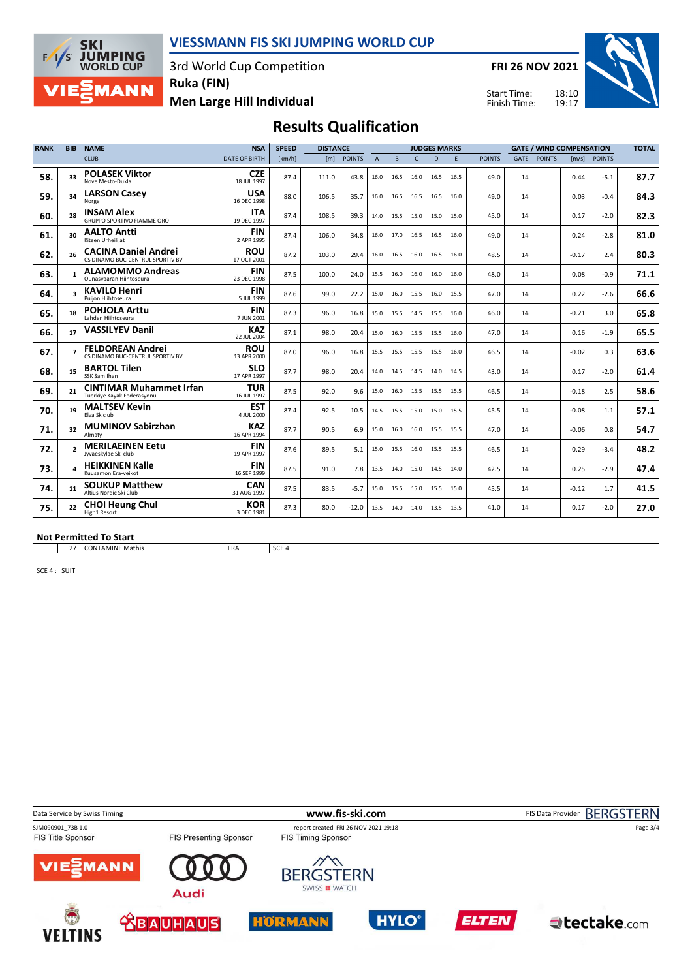

3rd World Cup Competition



**Men Large Hill Individual Ruka (FIN)**

**FRI 26 NOV 2021**

Start Time: Finish Time:



## **Results Qualification**

| <b>RANK</b> | <b>BIB</b> | <b>NAME</b>                                                     | <b>NSA</b>                | <b>SPEED</b> | <b>DISTANCE</b> |               |                | <b>JUDGES MARKS</b> |                |                          |      |               |      | <b>GATE / WIND COMPENSATION</b> |         |              |      |  |  |
|-------------|------------|-----------------------------------------------------------------|---------------------------|--------------|-----------------|---------------|----------------|---------------------|----------------|--------------------------|------|---------------|------|---------------------------------|---------|--------------|------|--|--|
|             |            | <b>CLUB</b>                                                     | <b>DATE OF BIRTH</b>      | [km/h]       | [m]             | <b>POINTS</b> | $\overline{A}$ | B                   | $\Gamma$       | D                        | F.   | <b>POINTS</b> | GATE | <b>POINTS</b>                   |         | [m/s] POINTS |      |  |  |
| 58.         | 33         | <b>POLASEK Viktor</b><br>Nove Mesto-Dukla                       | <b>CZE</b><br>18 JUL 1997 | 87.4         | 111.0           | 43.8          | 16.0           | 16.5                | 16.0           | 16.5                     | 16.5 | 49.0          | 14   |                                 | 0.44    | $-5.1$       | 87.7 |  |  |
| 59.         | 34         | <b>LARSON Casey</b><br>Norge                                    | <b>USA</b><br>16 DEC 1998 | 88.0         | 106.5           | 35.7          | 16.0           |                     | 16.5 16.5 16.5 |                          | 16.0 | 49.0          | 14   |                                 | 0.03    | $-0.4$       | 84.3 |  |  |
| 60.         | 28         | <b>INSAM Alex</b><br><b>GRUPPO SPORTIVO FIAMME ORO</b>          | <b>ITA</b><br>19 DEC 1997 | 87.4         | 108.5           | 39.3          | 14.0           | 15.5                | 15.0           | 15.0                     | 15.0 | 45.0          | 14   |                                 | 0.17    | $-2.0$       | 82.3 |  |  |
| 61.         | 30         | <b>AALTO Antti</b><br>Kiteen Urheilijat                         | <b>FIN</b><br>2 APR 1995  | 87.4         | 106.0           | 34.8          | 16.0           | 17.0 16.5           |                | 16.5                     | 16.0 | 49.0          | 14   |                                 | 0.24    | $-2.8$       | 81.0 |  |  |
| 62.         | 26         | <b>CACINA Daniel Andrei</b><br>CS DINAMO BUC-CENTRUL SPORTIV BV | <b>ROU</b><br>17 OCT 2001 | 87.2         | 103.0           | 29.4          | 16.0           |                     | 16.5 16.0 16.5 |                          | 16.0 | 48.5          | 14   |                                 | $-0.17$ | 2.4          | 80.3 |  |  |
| 63.         | 1          | <b>ALAMOMMO Andreas</b><br>Ounasyaaran Hiihtoseura              | <b>FIN</b><br>23 DEC 1998 | 87.5         | 100.0           | 24.0          | 15.5           |                     | 16.0 16.0 16.0 |                          | 16.0 | 48.0          | 14   |                                 | 0.08    | $-0.9$       | 71.1 |  |  |
| 64.         |            | <b>KAVILO Henri</b><br>Puiion Hiihtoseura                       | <b>FIN</b><br>5 JUL 1999  | 87.6         | 99.0            | 22.2          | 15.0           |                     | 16.0 15.5 16.0 |                          | 15.5 | 47.0          | 14   |                                 | 0.22    | $-2.6$       | 66.6 |  |  |
| 65.         | 18         | <b>POHJOLA Arttu</b><br>Lahden Hiihtoseura                      | <b>FIN</b><br>7 JUN 2001  | 87.3         | 96.0            | 16.8          | 15.0           |                     | 15.5 14.5 15.5 |                          | 16.0 | 46.0          | 14   |                                 | $-0.21$ | 3.0          | 65.8 |  |  |
| 66.         | 17         | <b>VASSILYEV Danil</b>                                          | <b>KAZ</b><br>22 JUL 2004 | 87.1         | 98.0            | 20.4          | 15.0           | 16.0                | 15.5           | 15.5                     | 16.0 | 47.0          | 14   |                                 | 0.16    | $-1.9$       | 65.5 |  |  |
| 67.         |            | <b>FELDOREAN Andrei</b><br>CS DINAMO BUC-CENTRUL SPORTIV BV.    | <b>ROU</b><br>13 APR 2000 | 87.0         | 96.0            | 16.8          | 15.5           | 15.5 15.5 15.5      |                |                          | 16.0 | 46.5          | 14   |                                 | $-0.02$ | 0.3          | 63.6 |  |  |
| 68.         | 15         | <b>BARTOL Tilen</b><br>SSK Sam Ihan                             | <b>SLO</b><br>17 APR 1997 | 87.7         | 98.0            | 20.4          | 14.0           |                     | 14.5 14.5 14.0 |                          | 14.5 | 43.0          | 14   |                                 | 0.17    | $-2.0$       | 61.4 |  |  |
| 69.         | 21         | <b>CINTIMAR Muhammet Irfan</b><br>Tuerkiye Kayak Federasyonu    | <b>TUR</b><br>16 JUL 1997 | 87.5         | 92.0            | 9.6           | 15.0           |                     | 16.0 15.5 15.5 |                          | 15.5 | 46.5          | 14   |                                 | $-0.18$ | 2.5          | 58.6 |  |  |
| 70.         | 19         | <b>MALTSEV Kevin</b><br>Elva Skiclub                            | <b>EST</b><br>4 JUL 2000  | 87.4         | 92.5            | 10.5          | 14.5           |                     | 15.5 15.0 15.0 |                          | 15.5 | 45.5          | 14   |                                 | $-0.08$ | 1.1          | 57.1 |  |  |
| 71.         | 32         | <b>MUMINOV Sabirzhan</b><br>Almaty                              | <b>KAZ</b><br>16 APR 1994 | 87.7         | 90.5            | 6.9           | 15.0           | 16.0                | 16.0           | 15.5                     | 15.5 | 47.0          | 14   |                                 | $-0.06$ | 0.8          | 54.7 |  |  |
| 72.         |            | <b>MERILAEINEN Eetu</b><br>Jyvaeskylae Ski club                 | <b>FIN</b><br>19 APR 1997 | 87.6         | 89.5            | 5.1           | 15.0           | 15.5                | 16.0           | 15.5                     | 15.5 | 46.5          | 14   |                                 | 0.29    | $-3.4$       | 48.2 |  |  |
| 73.         |            | <b>HEIKKINEN Kalle</b><br>Kuusamon Era-veikot                   | <b>FIN</b><br>16 SEP 1999 | 87.5         | 91.0            | 7.8           | 13.5           |                     |                | 14.0 15.0 14.5 14.0      |      | 42.5          | 14   |                                 | 0.25    | $-2.9$       | 47.4 |  |  |
| 74.         | 11         | <b>SOUKUP Matthew</b><br>Altius Nordic Ski Club                 | <b>CAN</b><br>31 AUG 1997 | 87.5         | 83.5            | $-5.7$        | 15.0           |                     | 15.5 15.0 15.5 |                          | 15.0 | 45.5          | 14   |                                 | $-0.12$ | 1.7          | 41.5 |  |  |
| 75.         | 22         | <b>CHOI Heung Chul</b><br>High1 Resort                          | <b>KOR</b><br>3 DEC 1981  | 87.3         | 80.0            | $-12.0$       |                |                     |                | 13.5 14.0 14.0 13.5 13.5 |      | 41.0          | 14   |                                 | 0.17    | $-2.0$       | 27.0 |  |  |
|             |            | <b>Not Permitted To Start</b>                                   |                           |              |                 |               |                |                     |                |                          |      |               |      |                                 |         |              |      |  |  |

27 CONTAMINE Mathis FRA SCE 4

SCE 4 : SUIT